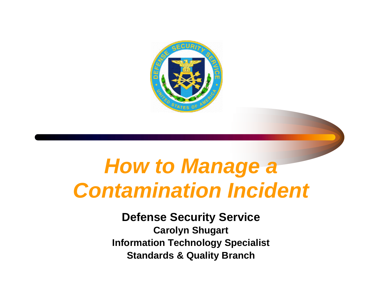

#### *How to Manage a Contamination Incident*

#### **Defense Security Service**

**Carolyn Shugart Information Technology Specialist Standards & Quality Branch**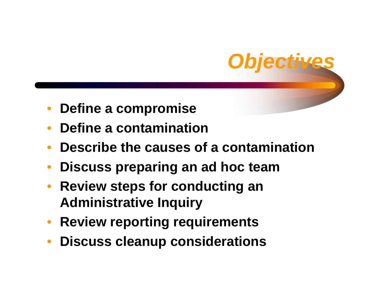

- •**Define a compromise**
- $\bullet$ **Define a contamination**
- $\bullet$ **Describe the causes of a contamination**
- $\bullet$ **Discuss preparing an ad hoc team**
- $\bullet$  **Review steps for conducting an Administrative Inquiry**
- **Review reporting requirements**
- $\bullet$ **Discuss cleanup considerations**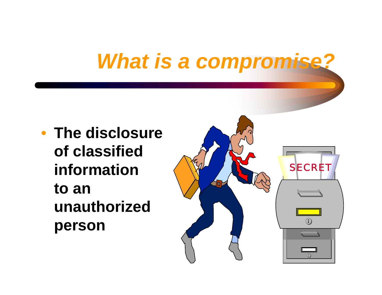### *What is a compromise?*

• **The disclosure of classified informationto an unauthorized person** 

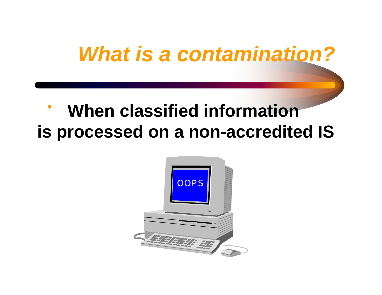# *What is a contamination?*

#### $\bullet$  **When classified information is processed on a non-accredited IS**

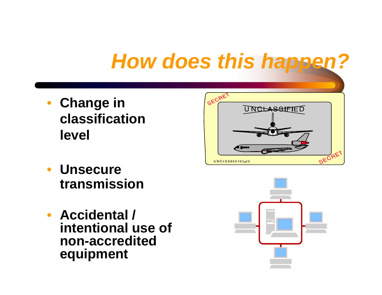#### *How does this happen?*

- **Change in classificationlevel**
- **Unsecure transmission**
- **Accidental / intentional use of non-accredited equipment**



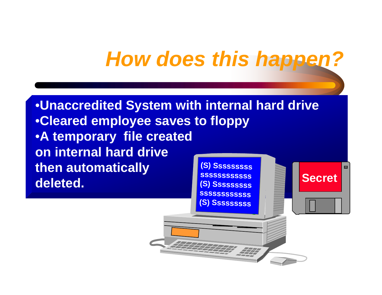#### *How does this happen?*

**(S) S s s s s s s s s**

44

555555555

•**Unaccredited System with internal hard drive** •**Cleared employee saves to floppy** •**A temporary file created on internal hard drive then automatically deleted. (S) S s s s ssssss s s s s s s s ssss(S) S s s sssssss s s sssssssssSecret**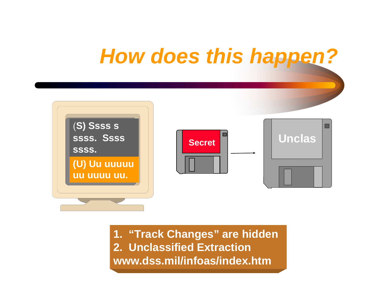

**1. "Track Changes" are hidden 2. Unclassified Extraction www.dss.mil/infoas/index.htm**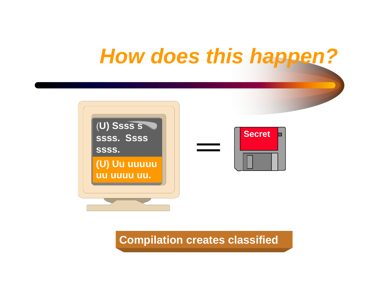



**Compilation creates classified**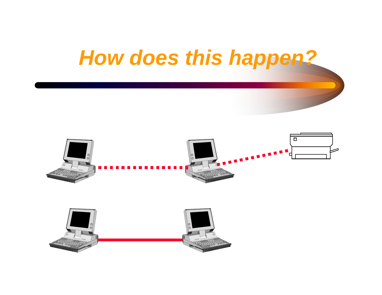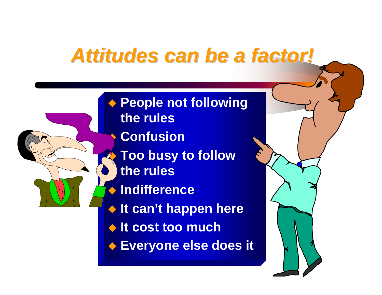#### *Attitudes can be a factor! Attitudes can be a factor!*

◆ People not following ♦ ◆ It can't happen here **It cost too much Everyone else does i tthe rulesConfusionA Too busy to follow the rulesIndifference**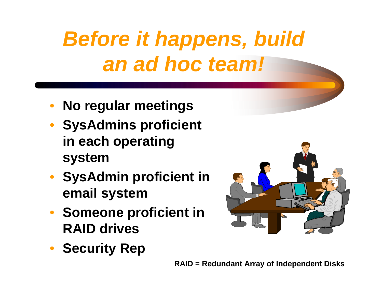# *Before it happens, build an ad hoc team!*

- **No regular meetings**
- **SysAdmins proficient in each operating system**
- **SysAdmin proficient in email system**
- **Someone proficient in RAID drives**
- **Security Rep**

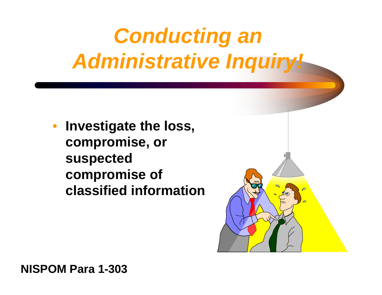# *Conducting an Administrative Inquiry!*

• **Investigate the loss, compromise, or suspected compromise of classified information**



**NISPOM Para 1-303**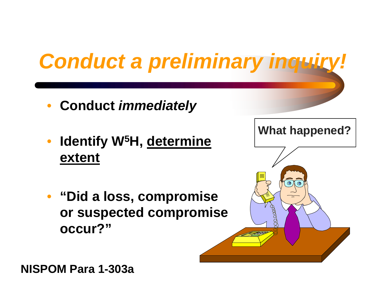# **Conduct a preliminary inquiry**

- **Conduct** *immediately*
- $\bullet$  **Identify W5H, determine extent**
- **"Did a loss, compromise or suspected compromise occur?"**



**NISPOM Para 1-303a**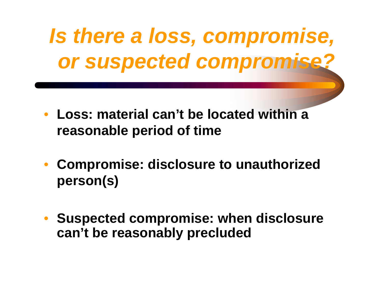*Is there a loss, compromise, or suspected compromise?*

- **Loss: material can't be located within a reasonable period of time**
- $\bullet$  **Compromise: disclosure to unauthorized person(s)**
- **Suspected compromise: when disclosure can't be reasonably precluded**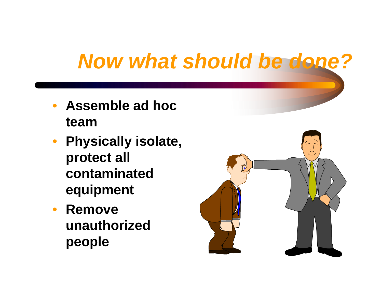#### *Now what should be done?*

- •**Assemble ad hoc team**
- **Physically isolate, protect all contaminated equipment**
- $\bullet$  **Remove unauthorized people**

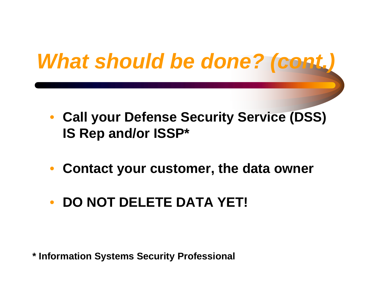# *What should be done? (cont.)*

- **Call your Defense Security Service (DSS) IS Rep and/or ISSP\***
- **Contact your customer, the data owner**
- •**DO NOT DELETE DATA YET!**

**\* Information Systems Security Professional**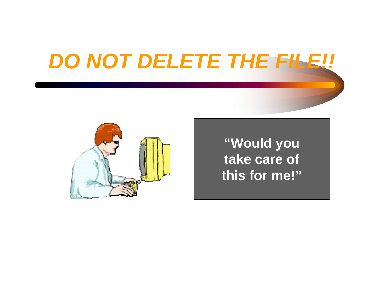#### *DO NOT DELETE THE FILE!!*



**"Would you take care of this for me!"**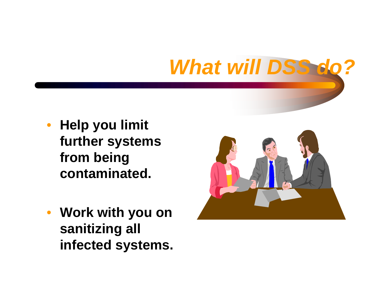# *What will DSS do?*

- **Help you limit further systems from being contaminated.**
- **Work with you on sanitizing all infected systems.**

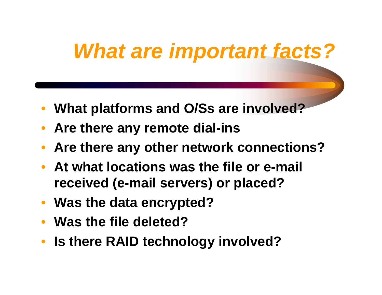### *What are important facts?*

- **What platforms and O/Ss are involved?**
- **Are there any remote dial-ins**
- **Are there any other network connections?**
- **At what locations was the file or e-mail received (e-mail servers) or placed?**
- **Was the data encrypted?**
- **Was the file deleted?**
- **Is there RAID technology involved?**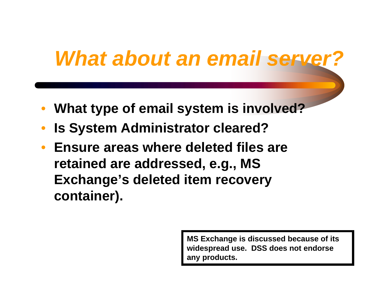#### *What about an email server?*

- $\bullet$ **What type of email system is involved?**
- $\bullet$ **Is System Administrator cleared?**
- **Ensure areas where deleted files are retained are addressed, e.g., MS Exchange's deleted item recovery container).**

**MS Exchange is discussed because of its widespread use. DSS does not endorse any products.**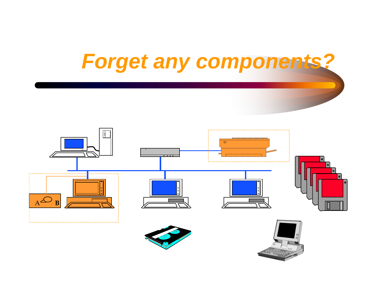



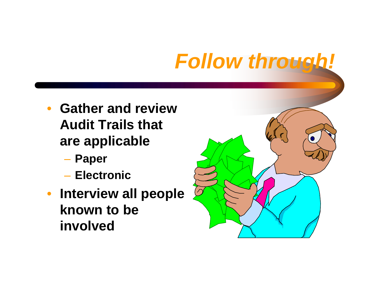## *Follow through!*

- **Gather and review Audit Trails that are applicable**
	- **Paper**
	- **Electronic**
- **Interview all people known to be involved**

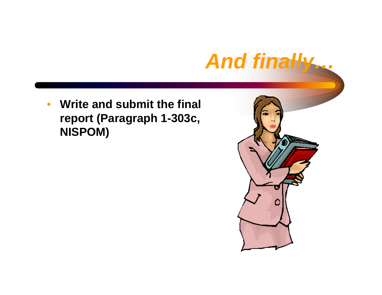#### *And finally…*

 $\bullet$  **Write and submit the final report (Paragraph 1-303c, NISPOM)**

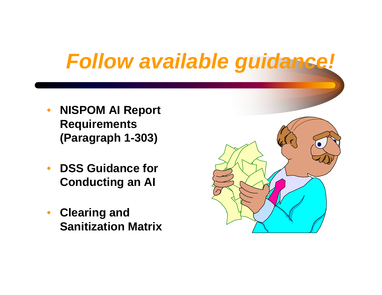### *Follow available guidance!*

- $\bullet$  **NISPOM AI Report Requirements (Paragraph 1-303)**
- $\bullet$  **DSS Guidance for Conducting an AI**
- **Clearing and Sanitization Matrix**

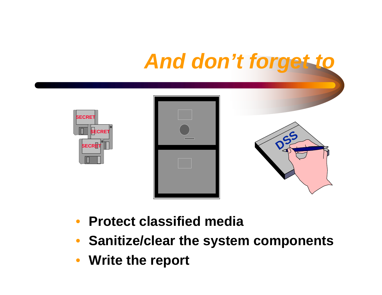# *And don't forget to*



- $\bullet$ **Protect classified media**
- **Sanitize/clear the system components**
- **Write the report**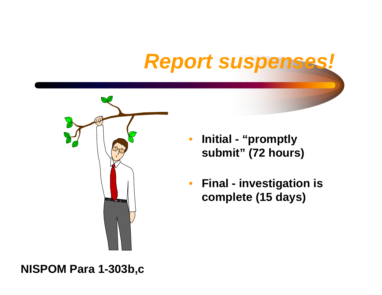# **Report suspenses**



- • **Initial - "promptly submit" (72 hours)**
- $\bullet$  **Final - investigation is complete (15 days)**

#### **NISPOM Para 1-303b,c**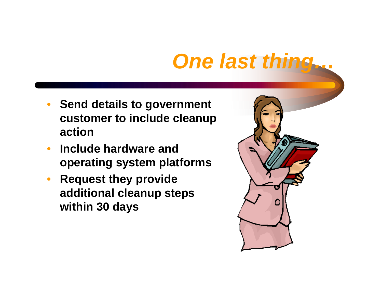#### *One last thing…*

- **Send details to government customer to include cleanup action**
- $\bullet$  **Include hardware and operating system platforms**
- **Request they provide additional cleanup steps within 30 days**